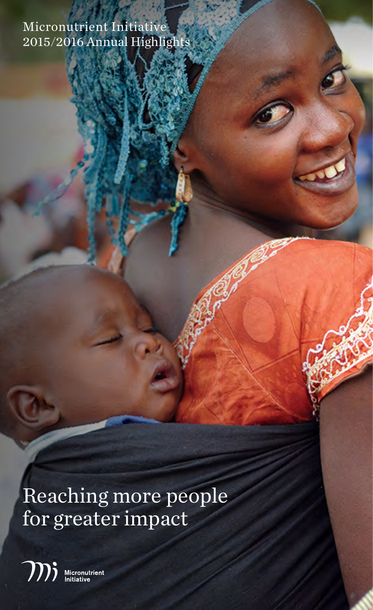Micronutrient Initiative 2015/2016 Annual Highlights

Reaching more people for greater impact

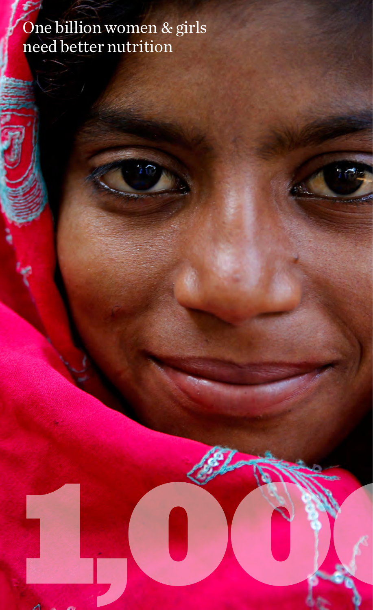## One billion women & girls need better nutrition

1,000,00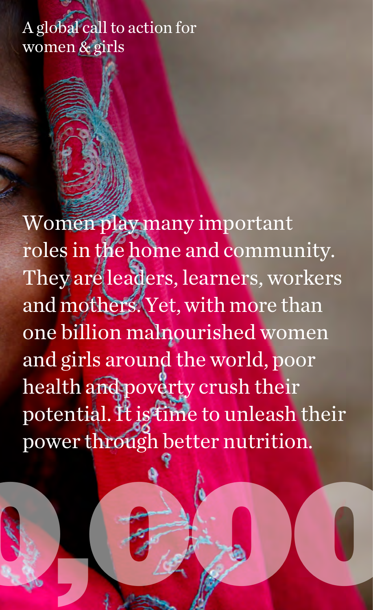## A global call to action for women & girls

Women play many important roles in the home and community. They are leaders, learners, workers and mothers. Yet, with more than one billion malnourished women and girls around the world, poor health and poverty crush their potential. It is time to unleash their power through better nutrition.

1,000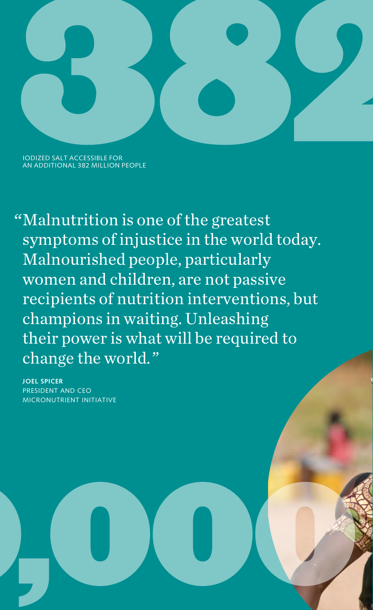

IODIZED SALT ACCESSIBLE FOR AN ADDITIONAL 382 MILLION PEOPLE

Malnutrition is one of the greatest " symptoms of injustice in the world today. Malnourished people, particularly women and children, are not passive recipients of nutrition interventions, but champions in waiting. Unleashing their power is what will be required to change the world. "

**JOEL SPICER** PRESIDENT AND CEO MICRONUTRIENT INITIATIVE

1,000,000,000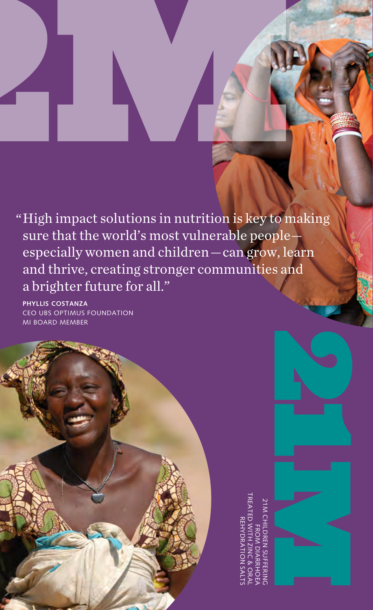" High impact solutions in nutrition is key to making sure that the world's most vulnerable people especially women and children — can grow, learn and thrive, creating stronger communities and a brighter future for all."

**PHYLLIS COSTANZA** CEO UBS OPTIMUS FOUNDATION MI BOARD MEMBER



21M CHILDREN SUFFERING<br>FROM DIARRHOEA<br>TREATED WITH ZINC & ORAL<br>REHYDRATION SALTS TREATED WITH ZINC & ORAL 21M CHILDREN SUFFERING REHYDRATION SALTS FROM DIARRHOEA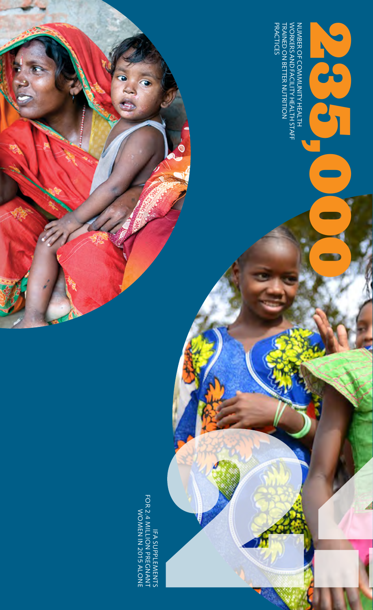IFA SUPPLEMENTS<br>FOR 2.4 MILLION PREGNANT<br>WOMEN IN 2015 ALONE FOR 2.4 MILLION PREGNANT WOMEN IN 2015 ALONE IFA SUPPLEMENTS

PRACTICES

**PRACTICES** 

TRAINED ON BETTER NUTRITION WORKERS AND FACILITY HEALTH STAFF

NUMBER OF COMMUNITY HEALTH<br>NUMBER OF COMMUNITY HEALTH<br>WORKERS AND FACILITY HEALTH 27 AFF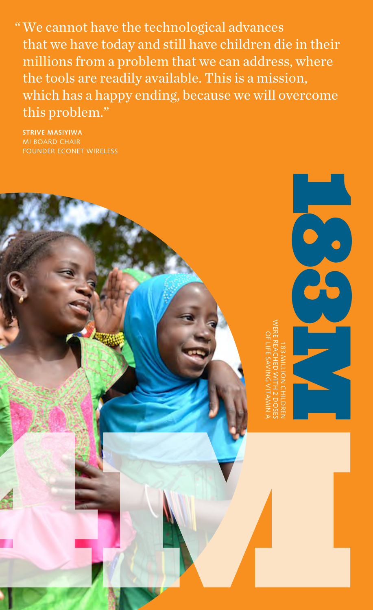We cannot have the technological advances " that we have today and still have children die in their millions from a problem that we can address, where the tools are readily available. This is a mission, which has a happy ending, because we will overcome this problem."

**STRIVE MASIYIWA** MI BOARD CHAIR FOUNDER ECONET WIRELESS

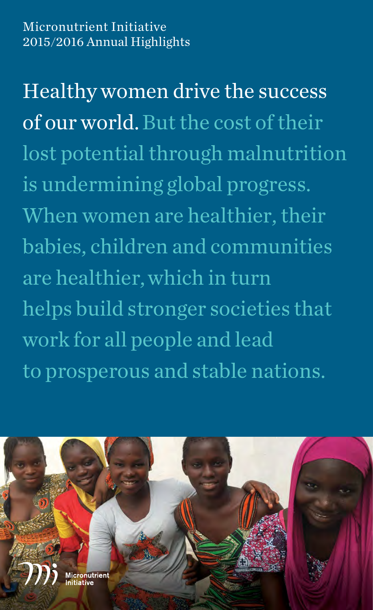Micronutrient Initiative 2015/2016 Annual Highlights

Healthy women drive the success of our world. But the cost of their lost potential through malnutrition is undermining global progress. When women are healthier, their babies, children and communities are healthier, which in turn helps build stronger societies that work for all people and lead to prosperous and stable nations.

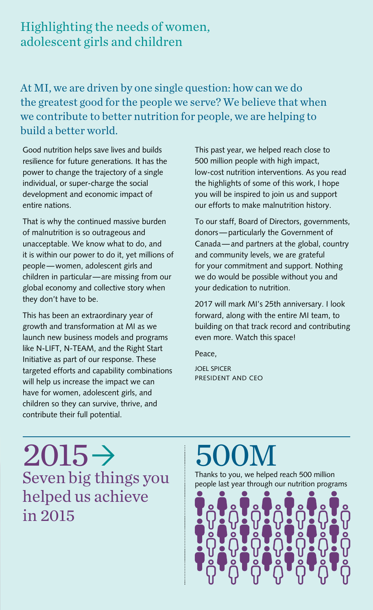### Highlighting the needs of women, adolescent girls and children

At MI, we are driven by one single question: how can we do the greatest good for the people we serve? We believe that when we contribute to better nutrition for people, we are helping to build a better world.

Good nutrition helps save lives and builds resilience for future generations. It has the power to change the trajectory of a single individual, or super-charge the social development and economic impact of entire nations.

That is why the continued massive burden of malnutrition is so outrageous and unacceptable. We know what to do, and it is within our power to do it, yet millions of people — women, adolescent girls and children in particular — are missing from our global economy and collective story when they don't have to be.

This has been an extraordinary year of growth and transformation at MI as we launch new business models and programs like N-LIFT, N-TEAM, and the Right Start Initiative as part of our response. These targeted efforts and capability combinations will help us increase the impact we can have for women, adolescent girls, and children so they can survive, thrive, and contribute their full potential.

This past year, we helped reach close to 500 million people with high impact, low-cost nutrition interventions. As you read the highlights of some of this work, I hope you will be inspired to join us and support our efforts to make malnutrition history.

To our staff, Board of Directors, governments, donors — particularly the Government of Canada — and partners at the global, country and community levels, we are grateful for your commitment and support. Nothing we do would be possible without you and your dedication to nutrition.

2017 will mark MI's 25th anniversary. I look forward, along with the entire MI team, to building on that track record and contributing even more. Watch this space!

Peace,

JOEL SPICER PRESIDENT AND CEO

 $2015 \rightarrow$ helped us achieve in 2015

## M

Thanks to you, we helped reach 500 million  ${\bf Seven big things you} \begin{array}{|l|} \text{Thanks to you, we helped reach 500 million} \text{point last year through our nutrition programs} \end{array}$ 

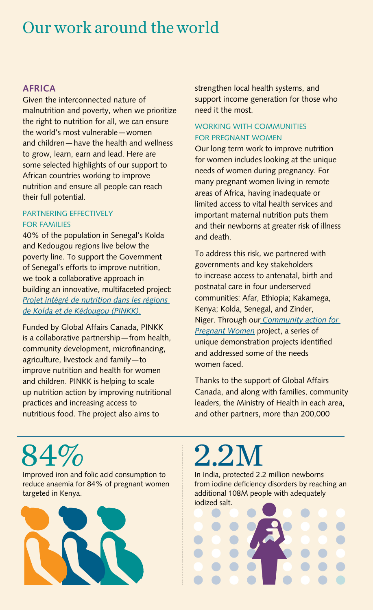## Our work around the world

#### **AFRICA**

Given the interconnected nature of malnutrition and poverty, when we prioritize the right to nutrition for all, we can ensure the world's most vulnerable — women and children — have the health and wellness to grow, learn, earn and lead. Here are some selected highlights of our support to African countries working to improve nutrition and ensure all people can reach their full potential.

#### PARTNERING EFFECTIVELY FOR FAMILIES

40% of the population in Senegal's Kolda and Kedougou regions live below the poverty line. To support the Government of Senegal's efforts to improve nutrition, we took a collaborative approach in building an innovative, multifaceted project: *[Projet intégré de nutrition dans les régions](http://www.micronutrient.org/mi-in-the-world/africa/senegal-sahel/pinkk/)  [de Kolda et de Kédougou \(PINKK\)](http://www.micronutrient.org/mi-in-the-world/africa/senegal-sahel/pinkk/)*.

Funded by Global Affairs Canada, PINKK is a collaborative partnership — from health, community development, microfinancing, agriculture, livestock and family — to improve nutrition and health for women and children. PINKK is helping to scale up nutrition action by improving nutritional practices and increasing access to nutritious food. The project also aims to

strengthen local health systems, and support income generation for those who need it the most.

#### WORKING WITH COMMUNITIES FOR PREGNANT WOMEN

Our long term work to improve nutrition for women includes looking at the unique needs of women during pregnancy. For many pregnant women living in remote areas of Africa, having inadequate or limited access to vital health services and important maternal nutrition puts them and their newborns at greater risk of illness and death.

To address this risk, we partnered with governments and key stakeholders to increase access to antenatal, birth and postnatal care in four underserved communities: Afar, Ethiopia; Kakamega, Kenya; Kolda, Senegal, and Zinder, Niger. Through our *[Community action for](http://www.micronutrient.org/what-we-do/by-programs/maternal-newborn-health/community-based-maternal-newborn-health-project/)  [Pregnant Women](http://www.micronutrient.org/what-we-do/by-programs/maternal-newborn-health/community-based-maternal-newborn-health-project/)* project, a series of unique demonstration projects identified and addressed some of the needs women faced.

Thanks to the support of Global Affairs Canada, and along with families, community leaders, the Ministry of Health in each area, and other partners, more than 200,000

# 84% Improved iron and folic acid consumption to

reduce anaemia for 84% of pregnant women targeted in Kenya.



## 2.2 2.2M<br>In India, protected 2.2 million newborns

from iodine deficiency disorders by reaching an additional 108M people with adequately iodized salt.

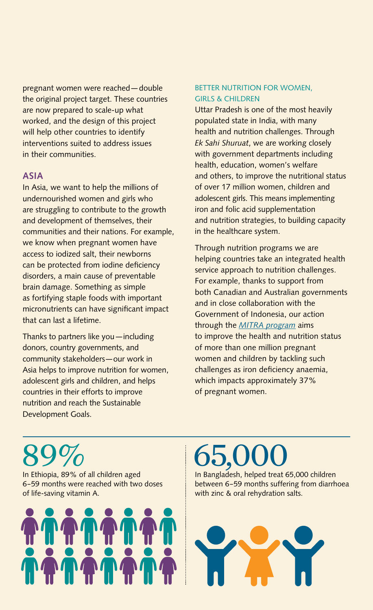pregnant women were reached — double the original project target. These countries are now prepared to scale-up what worked, and the design of this project will help other countries to identify interventions suited to address issues in their communities.

#### **ASIA**

In Asia, we want to help the millions of undernourished women and girls who are struggling to contribute to the growth and development of themselves, their communities and their nations. For example, we know when pregnant women have access to iodized salt, their newborns can be protected from iodine deficiency disorders, a main cause of preventable brain damage. Something as simple as fortifying staple foods with important micronutrients can have significant impact that can last a lifetime.

Thanks to partners like you — including donors, country governments, and community stakeholders — our work in Asia helps to improve nutrition for women, adolescent girls and children, and helps countries in their efforts to improve nutrition and reach the Sustainable Development Goals.

#### BETTER NUTRITION FOR WOMEN, GIRLS & CHILDREN

Uttar Pradesh is one of the most heavily populated state in India, with many health and nutrition challenges. Through *Ek Sahi Shuruat*, we are working closely with government departments including health, education, women's welfare and others, to improve the nutritional status of over 17 million women, children and adolescent girls. This means implementing iron and folic acid supplementation and nutrition strategies, to building capacity in the healthcare system.

Through nutrition programs we are helping countries take an integrated health service approach to nutrition challenges. For example, thanks to support from both Canadian and Australian governments and in close collaboration with the Government of Indonesia, our action through the *[MITRA program](http://www.micronutrient.org/2016/02/the-micronutrient-initiative-undertakes-multi-government-partnership-to-boost-the-health-of-pregnant-women-and-young-children-in-indonesia/)* aims to improve the health and nutrition status of more than one million pregnant women and children by tackling such challenges as iron deficiency anaemia, which impacts approximately 37% of pregnant women.

# 89%

In Ethiopia, 89% of all children aged 6–59 months were reached with two doses of life-saving vitamin A.



# 65,000

In Bangladesh, helped treat 65,000 children between 6–59 months suffering from diarrhoea with zinc & oral rehydration salts.

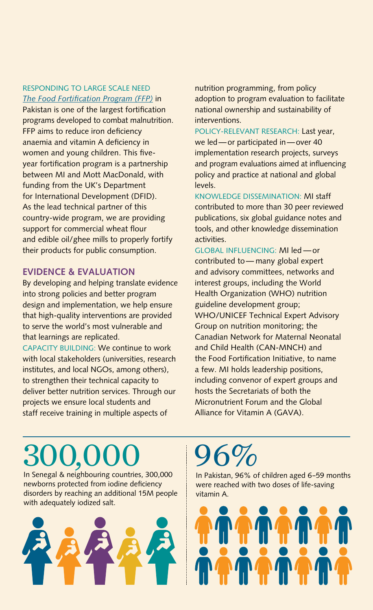#### RESPONDING TO LARGE SCALE NEED *[The Food Fortification Program \(FFP\)](http://www.micronutrient.org/2016/09/mi-mott-macdonald-lead-dfid-funded-program-save-lives-food-fortification-pakistan/)* in

Pakistan is one of the largest fortification programs developed to combat malnutrition. FFP aims to reduce iron deficiency anaemia and vitamin A deficiency in women and young children. This fiveyear fortification program is a partnership between MI and Mott MacDonald, with funding from the UK's Department for International Development (DFID). As the lead technical partner of this country-wide program, we are providing support for commercial wheat flour and edible oil/ghee mills to properly fortify their products for public consumption.

#### **EVIDENCE & EVALUATION**

By developing and helping translate evidence into strong policies and better program design and implementation, we help ensure that high-quality interventions are provided to serve the world's most vulnerable and that learnings are replicated.

CAPACITY BUILDING: We continue to work with local stakeholders (universities, research institutes, and local NGOs, among others), to strengthen their technical capacity to deliver better nutrition services. Through our projects we ensure local students and staff receive training in multiple aspects of

nutrition programming, from policy adoption to program evaluation to facilitate national ownership and sustainability of interventions.

POLICY-RELEVANT RESEARCH: Last year, we led — or participated in — over 40 implementation research projects, surveys and program evaluations aimed at influencing policy and practice at national and global levels.

KNOWLEDGE DISSEMINATION: MI staff contributed to more than 30 peer reviewed publications, six global guidance notes and tools, and other knowledge dissemination activities.

GLOBAL INFLUENCING: MI led — or contributed to - many global expert and advisory committees, networks and interest groups, including the World Health Organization (WHO) nutrition guideline development group; WHO/UNICEF Technical Expert Advisory Group on nutrition monitoring; the Canadian Network for Maternal Neonatal and Child Health (CAN-MNCH) and the Food Fortification Initiative, to name a few. MI holds leadership positions, including convenor of expert groups and hosts the Secretariats of both the Micronutrient Forum and the Global Alliance for Vitamin A (GAVA).

# 300,000

In Senegal & neighbouring countries, 300,000 newborns protected from iodine deficiency disorders by reaching an additional 15M people with adequately iodized salt.



# 96%

In Pakistan, 96% of children aged 6–59 months were reached with two doses of life-saving vitamin A.

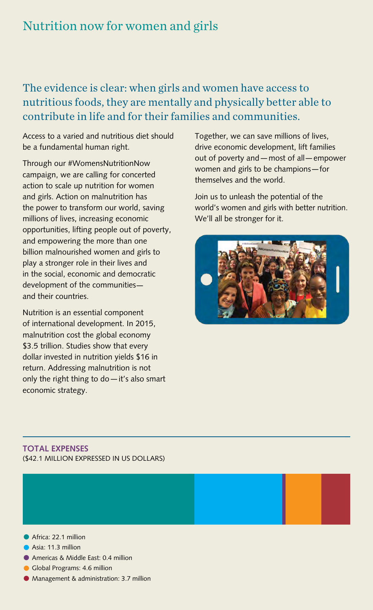### Nutrition now for women and girls

### The evidence is clear: when girls and women have access to nutritious foods, they are mentally and physically better able to contribute in life and for their families and communities.

Access to a varied and nutritious diet should be a fundamental human right.

Through our #WomensNutritionNow campaign, we are calling for concerted action to scale up nutrition for women and girls. Action on malnutrition has the power to transform our world, saving millions of lives, increasing economic opportunities, lifting people out of poverty, and empowering the more than one billion malnourished women and girls to play a stronger role in their lives and in the social, economic and democratic development of the communities and their countries.

Nutrition is an essential component of international development. In 2015, malnutrition cost the global economy \$3.5 trillion. Studies show that every dollar invested in nutrition yields \$16 in return. Addressing malnutrition is not only the right thing to do — it's also smart economic strategy.

Together, we can save millions of lives, drive economic development, lift families out of poverty and — most of all — empower women and girls to be champions — for themselves and the world.

Join us to unleash the potential of the world's women and girls with better nutrition. We'll all be stronger for it.



#### **TOTAL EXPENSES** (\$42.1 MILLION EXPRESSED IN US DOLLARS)



- Asia: 11.3 million
- Americas & Middle East: 0.4 million
- **Global Programs: 4.6 million**
- Management & administration: 3.7 million